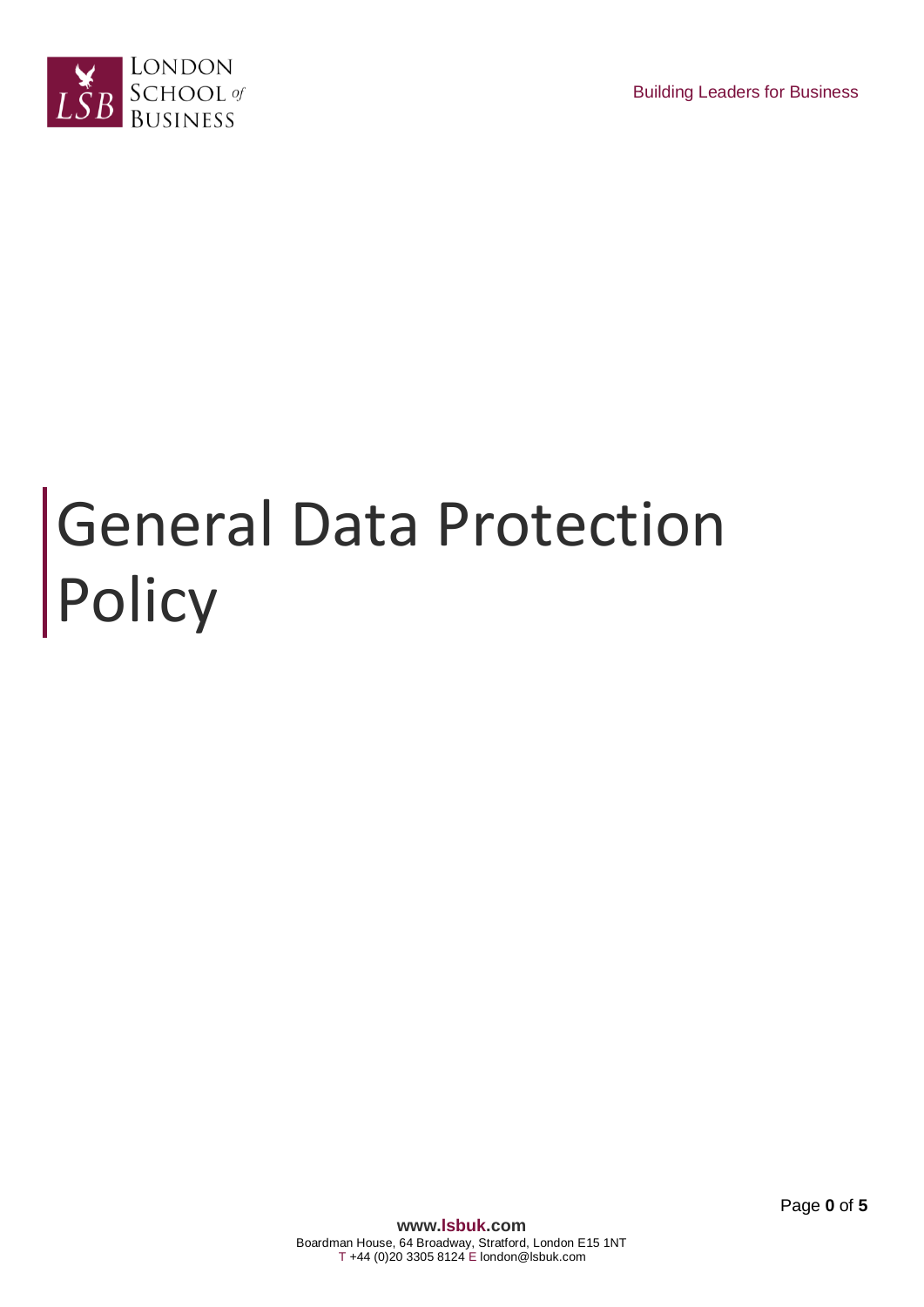



# General Data Protection Policy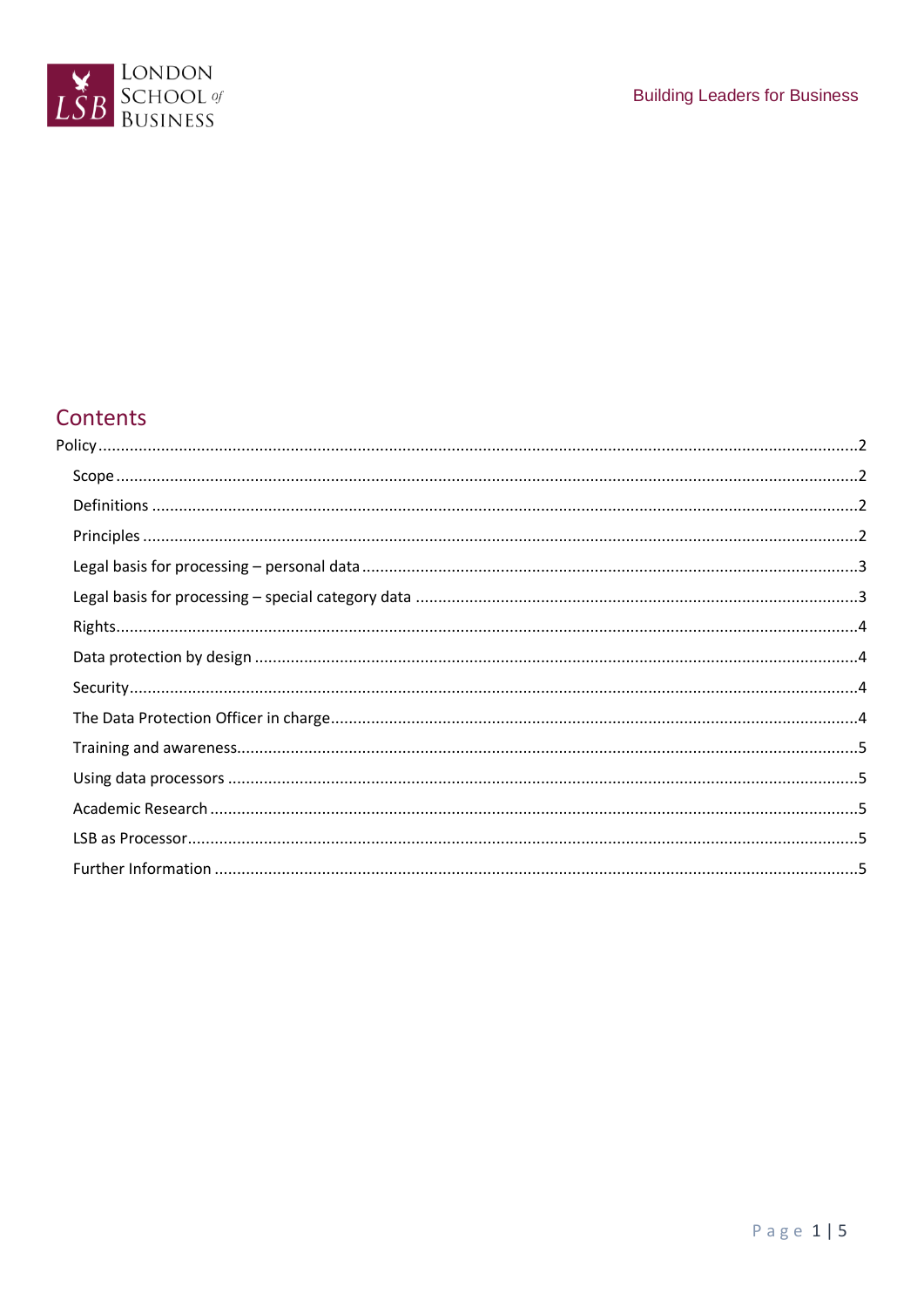

# Contents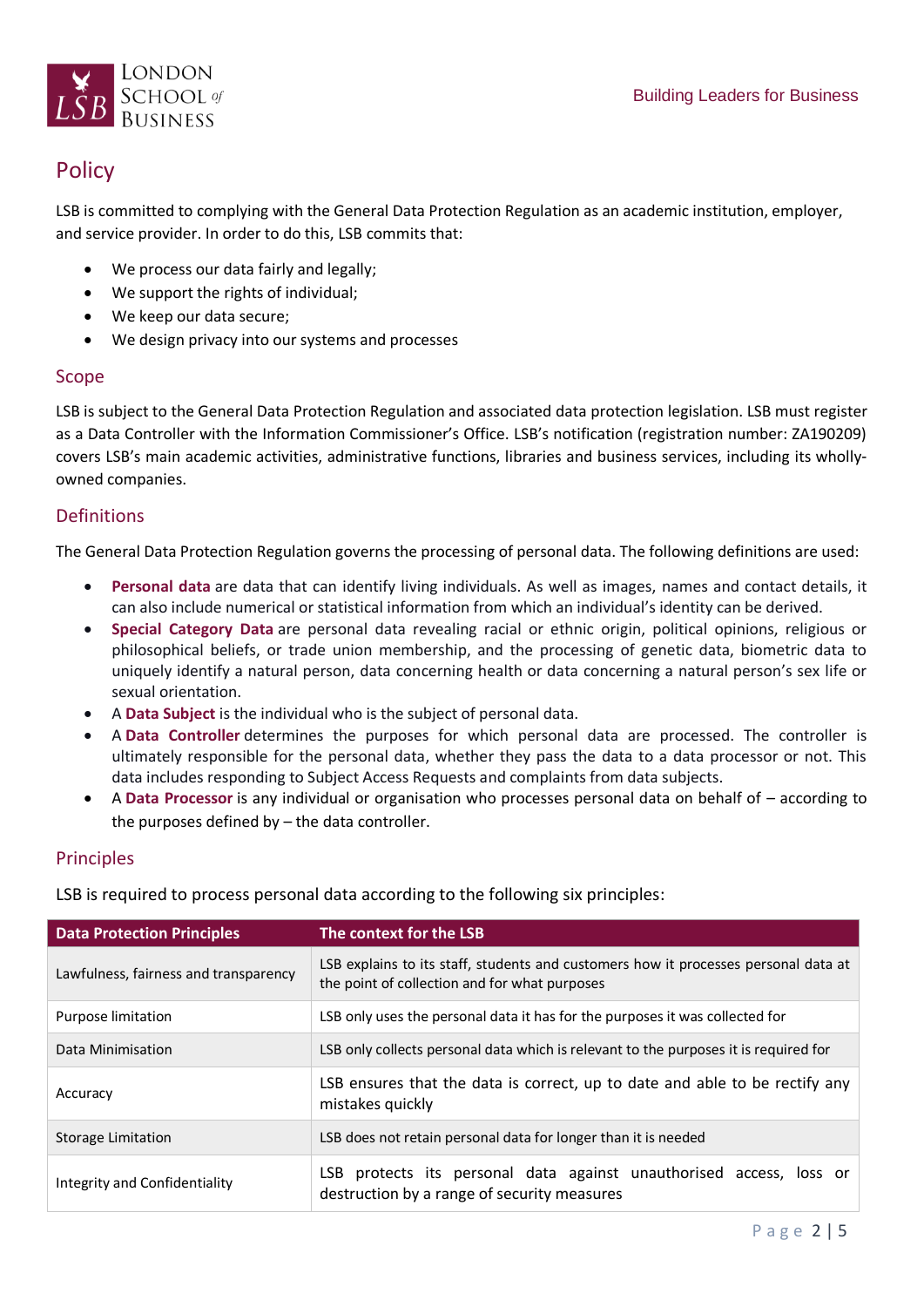

# <span id="page-2-0"></span>**Policy**

LSB is committed to complying with the General Data Protection Regulation as an academic institution, employer, and service provider. In order to do this, LSB commits that:

- We process our data fairly and legally:
- We support the rights of individual;
- We keep our data secure:
- We design privacy into our systems and processes

# <span id="page-2-1"></span>Scope

LSB is subject to the General Data Protection Regulation and associated data protection legislation. LSB must register as a Data Controller with the Information Commissioner's Office. LSB's notification (registration number: ZA190209) covers LSB's main academic activities, administrative functions, libraries and business services, including its wholly‐ owned companies.

# <span id="page-2-2"></span>Definitions

The General Data Protection Regulation governs the processing of personal data. The following definitions are used:

- **Personal data** are data that can identify living individuals. As well as images, names and contact details, it can also include numerical or statistical information from which an individual's identity can be derived.
- **Special Category Data** are personal data revealing racial or ethnic origin, political opinions, religious or philosophical beliefs, or trade union membership, and the processing of genetic data, biometric data to uniquely identify a natural person, data concerning health or data concerning a natural person's sex life or sexual orientation.
- A **Data Subject** is the individual who is the subject of personal data.
- A **Data Controller** determines the purposes for which personal data are processed. The controller is ultimately responsible for the personal data, whether they pass the data to a data processor or not. This data includes responding to Subject Access Requests and complaints from data subjects.
- A **Data Processor** is any individual or organisation who processes personal data on behalf of according to the purposes defined by – the data controller.

# <span id="page-2-3"></span>Principles

LSB is required to process personal data according to the following six principles:

| <b>Data Protection Principles</b>     | The context for the LSB                                                                                                              |
|---------------------------------------|--------------------------------------------------------------------------------------------------------------------------------------|
| Lawfulness, fairness and transparency | LSB explains to its staff, students and customers how it processes personal data at<br>the point of collection and for what purposes |
| Purpose limitation                    | LSB only uses the personal data it has for the purposes it was collected for                                                         |
| Data Minimisation                     | LSB only collects personal data which is relevant to the purposes it is required for                                                 |
| Accuracy                              | LSB ensures that the data is correct, up to date and able to be rectify any<br>mistakes quickly                                      |
| Storage Limitation                    | LSB does not retain personal data for longer than it is needed                                                                       |
| Integrity and Confidentiality         | LSB protects its personal data against unauthorised access, loss or<br>destruction by a range of security measures                   |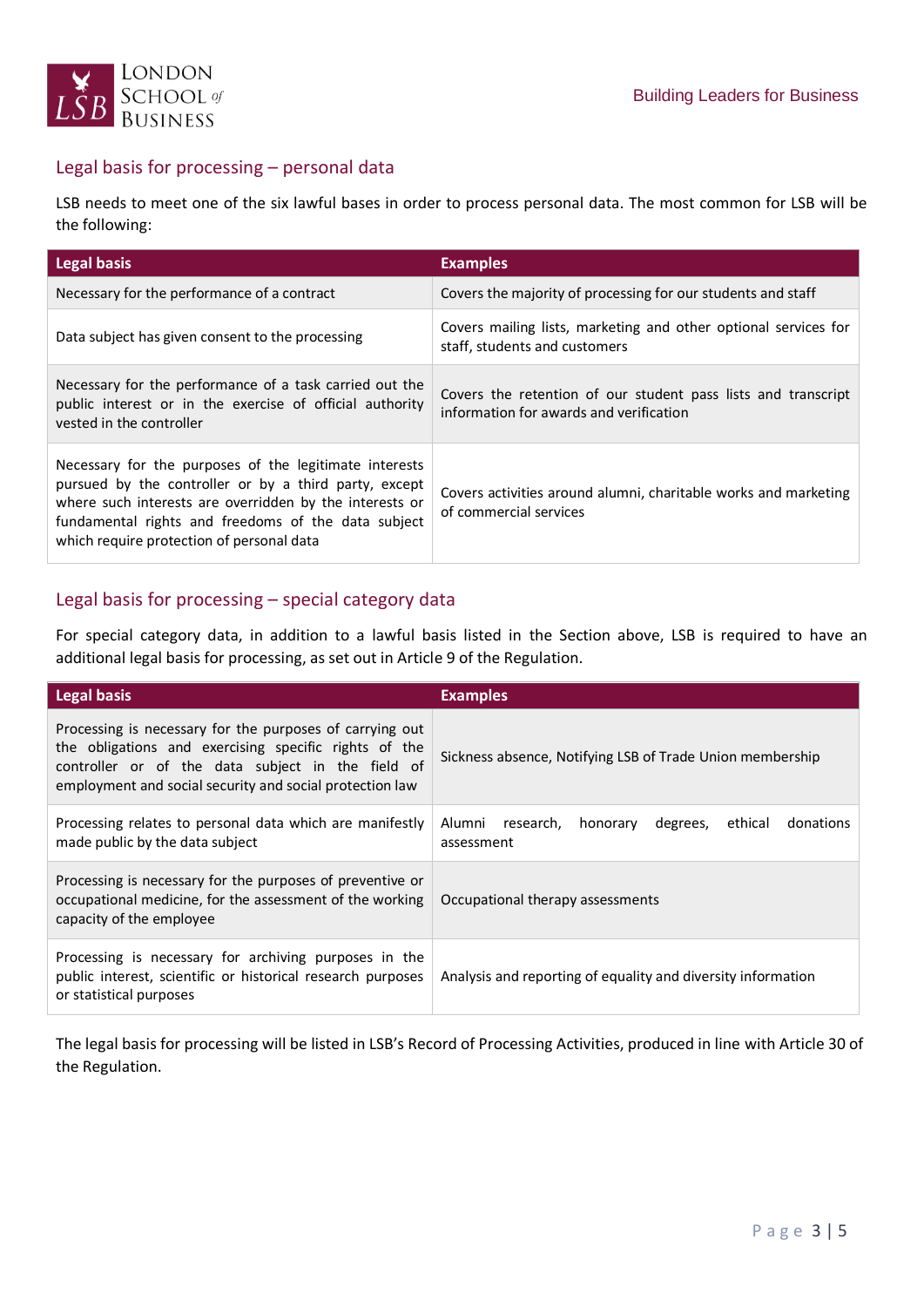

#### <span id="page-3-0"></span>Legal basis for processing – personal data

LSB needs to meet one of the six lawful bases in order to process personal data. The most common for LSB will be the following:

| <b>Legal basis</b>                                                                                                                                                                                                                                                             | <b>Examples</b>                                                                                          |
|--------------------------------------------------------------------------------------------------------------------------------------------------------------------------------------------------------------------------------------------------------------------------------|----------------------------------------------------------------------------------------------------------|
| Necessary for the performance of a contract                                                                                                                                                                                                                                    | Covers the majority of processing for our students and staff                                             |
| Data subject has given consent to the processing                                                                                                                                                                                                                               | Covers mailing lists, marketing and other optional services for<br>staff, students and customers         |
| Necessary for the performance of a task carried out the<br>public interest or in the exercise of official authority<br>vested in the controller                                                                                                                                | Covers the retention of our student pass lists and transcript<br>information for awards and verification |
| Necessary for the purposes of the legitimate interests<br>pursued by the controller or by a third party, except<br>where such interests are overridden by the interests or<br>fundamental rights and freedoms of the data subject<br>which require protection of personal data | Covers activities around alumni, charitable works and marketing<br>of commercial services                |

#### <span id="page-3-1"></span>Legal basis for processing – special category data

For special category data, in addition to a lawful basis listed in the Section above, LSB is required to have an additional legal basis for processing, as set out in Article 9 of the Regulation.

| <b>Legal basis</b>                                                                                                                                                                                                                 | <b>Examples</b>                                                                   |
|------------------------------------------------------------------------------------------------------------------------------------------------------------------------------------------------------------------------------------|-----------------------------------------------------------------------------------|
| Processing is necessary for the purposes of carrying out<br>the obligations and exercising specific rights of the<br>controller or of the data subject in the field of<br>employment and social security and social protection law | Sickness absence, Notifying LSB of Trade Union membership                         |
| Processing relates to personal data which are manifestly<br>made public by the data subject                                                                                                                                        | Alumni<br>research,<br>ethical<br>donations<br>honorary<br>degrees,<br>assessment |
| Processing is necessary for the purposes of preventive or<br>occupational medicine, for the assessment of the working<br>capacity of the employee                                                                                  | Occupational therapy assessments                                                  |
| Processing is necessary for archiving purposes in the<br>public interest, scientific or historical research purposes<br>or statistical purposes                                                                                    | Analysis and reporting of equality and diversity information                      |

The legal basis for processing will be listed in LSB's Record of Processing Activities, produced in line with Article 30 of the Regulation.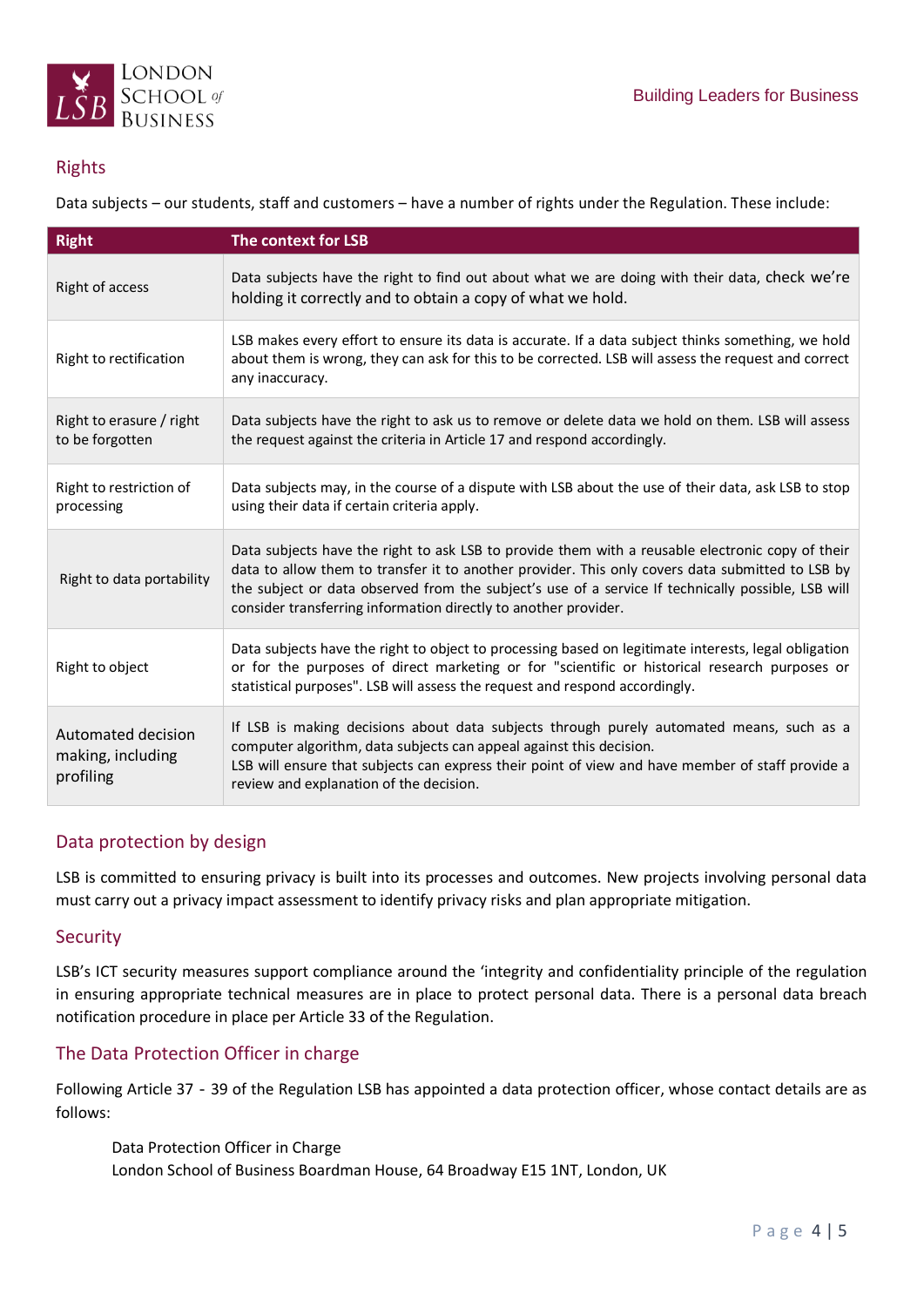

# <span id="page-4-0"></span>Rights

Data subjects – our students, staff and customers – have a number of rights under the Regulation. These include:

| <b>Right</b>                                         | The context for LSB                                                                                                                                                                                                                                                                                                                                                           |
|------------------------------------------------------|-------------------------------------------------------------------------------------------------------------------------------------------------------------------------------------------------------------------------------------------------------------------------------------------------------------------------------------------------------------------------------|
| Right of access                                      | Data subjects have the right to find out about what we are doing with their data, check we're<br>holding it correctly and to obtain a copy of what we hold.                                                                                                                                                                                                                   |
| Right to rectification                               | LSB makes every effort to ensure its data is accurate. If a data subject thinks something, we hold<br>about them is wrong, they can ask for this to be corrected. LSB will assess the request and correct<br>any inaccuracy.                                                                                                                                                  |
| Right to erasure / right<br>to be forgotten          | Data subjects have the right to ask us to remove or delete data we hold on them. LSB will assess<br>the request against the criteria in Article 17 and respond accordingly.                                                                                                                                                                                                   |
| Right to restriction of<br>processing                | Data subjects may, in the course of a dispute with LSB about the use of their data, ask LSB to stop<br>using their data if certain criteria apply.                                                                                                                                                                                                                            |
| Right to data portability                            | Data subjects have the right to ask LSB to provide them with a reusable electronic copy of their<br>data to allow them to transfer it to another provider. This only covers data submitted to LSB by<br>the subject or data observed from the subject's use of a service If technically possible, LSB will<br>consider transferring information directly to another provider. |
| Right to object                                      | Data subjects have the right to object to processing based on legitimate interests, legal obligation<br>or for the purposes of direct marketing or for "scientific or historical research purposes or<br>statistical purposes". LSB will assess the request and respond accordingly.                                                                                          |
| Automated decision<br>making, including<br>profiling | If LSB is making decisions about data subjects through purely automated means, such as a<br>computer algorithm, data subjects can appeal against this decision.<br>LSB will ensure that subjects can express their point of view and have member of staff provide a<br>review and explanation of the decision.                                                                |

# <span id="page-4-1"></span>Data protection by design

LSB is committed to ensuring privacy is built into its processes and outcomes. New projects involving personal data must carry out a privacy impact assessment to identify privacy risks and plan appropriate mitigation.

#### <span id="page-4-2"></span>**Security**

LSB's ICT security measures support compliance around the 'integrity and confidentiality principle of the regulation in ensuring appropriate technical measures are in place to protect personal data. There is a personal data breach notification procedure in place per Article 33 of the Regulation.

# <span id="page-4-3"></span>The Data Protection Officer in charge

Following Article 37 - 39 of the Regulation LSB has appointed a data protection officer, whose contact details are as follows:

Data Protection Officer in Charge London School of Business Boardman House, 64 Broadway E15 1NT, London, UK